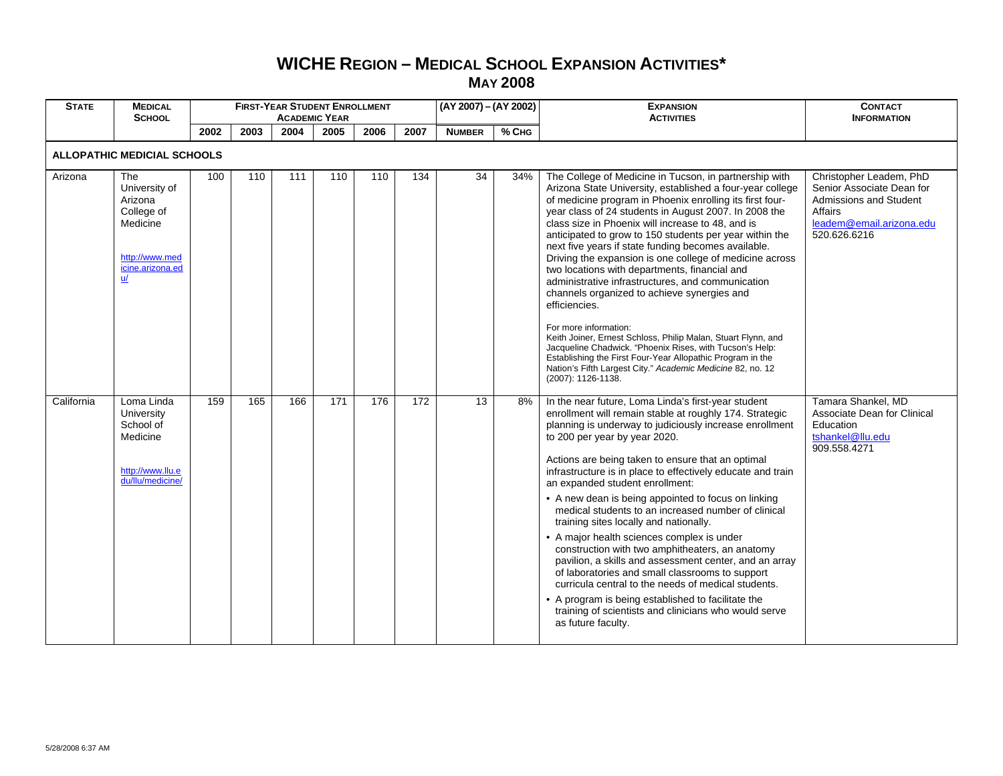## **WICHE REGION – MEDICAL SCHOOL EXPANSION ACTIVITIES\* MAY 2008**

| <b>STATE</b> | <b>MEDICAL</b><br><b>SCHOOL</b>                                                                       |      |      |      | <b>FIRST-YEAR STUDENT ENROLLMENT</b><br><b>ACADEMIC YEAR</b> |      |                  | (AY 2007) - (AY 2002) |       | <b>EXPANSION</b><br><b>ACTIVITIES</b>                                                                                                                                                                                                                                                                                                                                                                                                                                                                                                                                                                                                                                                                                                                                                                                                                                                                                                                    | <b>CONTACT</b><br><b>INFORMATION</b>                                                                                                  |
|--------------|-------------------------------------------------------------------------------------------------------|------|------|------|--------------------------------------------------------------|------|------------------|-----------------------|-------|----------------------------------------------------------------------------------------------------------------------------------------------------------------------------------------------------------------------------------------------------------------------------------------------------------------------------------------------------------------------------------------------------------------------------------------------------------------------------------------------------------------------------------------------------------------------------------------------------------------------------------------------------------------------------------------------------------------------------------------------------------------------------------------------------------------------------------------------------------------------------------------------------------------------------------------------------------|---------------------------------------------------------------------------------------------------------------------------------------|
|              |                                                                                                       | 2002 | 2003 | 2004 | 2005                                                         | 2006 | 2007             | <b>NUMBER</b>         | % CHG |                                                                                                                                                                                                                                                                                                                                                                                                                                                                                                                                                                                                                                                                                                                                                                                                                                                                                                                                                          |                                                                                                                                       |
|              | <b>ALLOPATHIC MEDICIAL SCHOOLS</b>                                                                    |      |      |      |                                                              |      |                  |                       |       |                                                                                                                                                                                                                                                                                                                                                                                                                                                                                                                                                                                                                                                                                                                                                                                                                                                                                                                                                          |                                                                                                                                       |
| Arizona      | The<br>University of<br>Arizona<br>College of<br>Medicine<br>http://www.med<br>icine.arizona.ed<br>u/ | 100  | 110  | 111  | 110                                                          | 110  | 134              | 34                    | 34%   | The College of Medicine in Tucson, in partnership with<br>Arizona State University, established a four-year college<br>of medicine program in Phoenix enrolling its first four-<br>year class of 24 students in August 2007. In 2008 the<br>class size in Phoenix will increase to 48, and is<br>anticipated to grow to 150 students per year within the<br>next five years if state funding becomes available.<br>Driving the expansion is one college of medicine across<br>two locations with departments, financial and<br>administrative infrastructures, and communication<br>channels organized to achieve synergies and<br>efficiencies.<br>For more information:<br>Keith Joiner, Ernest Schloss, Philip Malan, Stuart Flynn, and<br>Jacqueline Chadwick. "Phoenix Rises, with Tucson's Help:<br>Establishing the First Four-Year Allopathic Program in the<br>Nation's Fifth Largest City." Academic Medicine 82, no. 12<br>(2007): 1126-1138. | Christopher Leadem, PhD<br>Senior Associate Dean for<br>Admissions and Student<br>Affairs<br>leadem@email.arizona.edu<br>520.626.6216 |
| California   | Loma Linda<br>University<br>School of<br>Medicine<br>http://www.llu.e<br>du/llu/medicine/             | 159  | 165  | 166  | 171                                                          | 176  | $\overline{172}$ | 13                    | 8%    | In the near future, Loma Linda's first-year student<br>enrollment will remain stable at roughly 174. Strategic<br>planning is underway to judiciously increase enrollment<br>to 200 per year by year 2020.<br>Actions are being taken to ensure that an optimal<br>infrastructure is in place to effectively educate and train<br>an expanded student enrollment:<br>• A new dean is being appointed to focus on linking<br>medical students to an increased number of clinical<br>training sites locally and nationally.<br>• A major health sciences complex is under<br>construction with two amphitheaters, an anatomy<br>pavilion, a skills and assessment center, and an array<br>of laboratories and small classrooms to support<br>curricula central to the needs of medical students.<br>• A program is being established to facilitate the<br>training of scientists and clinicians who would serve<br>as future faculty.                      | Tamara Shankel, MD<br>Associate Dean for Clinical<br>Education<br>tshankel@llu.edu<br>909.558.4271                                    |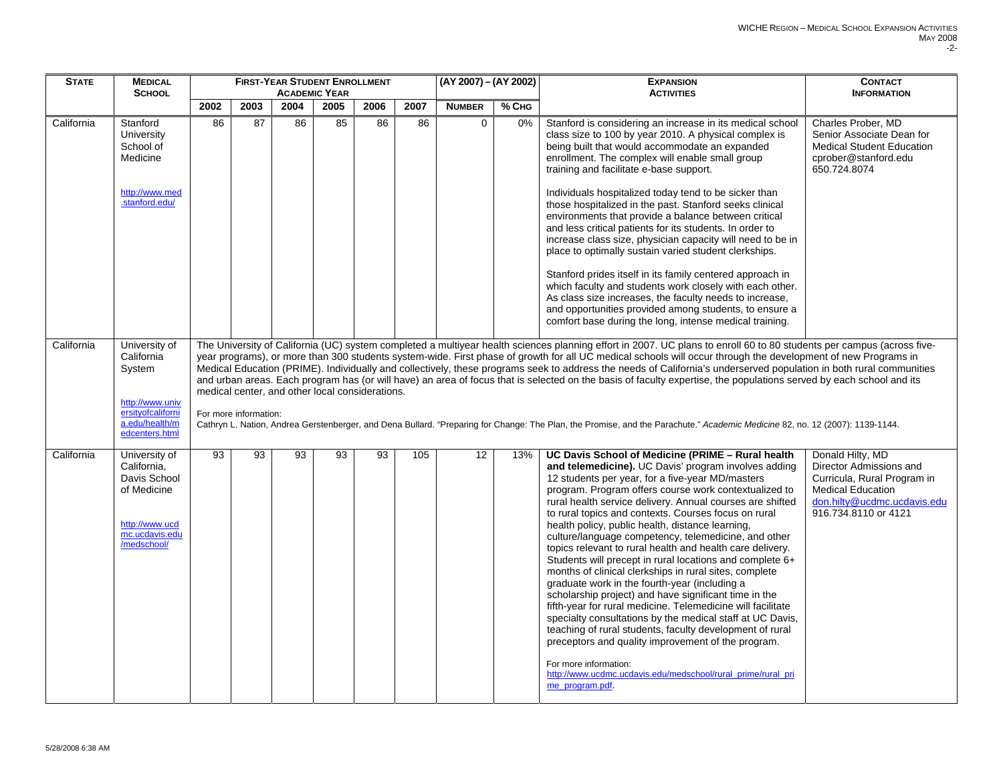| <b>STATE</b> | <b>MEDICAL</b>                                                                                                                   |      |                       |      | <b>FIRST-YEAR STUDENT ENROLLMENT</b>            |      |      | (AY 2007) - (AY 2002) |       | <b>EXPANSION</b>                                                                                                                                                                                                                                                                                                                                                                                                                                                                                                                                                                                                                                                                                                                                                                                                                                                                                                                                                                                                                                                                                               | <b>CONTACT</b>                                                                                                                                                |
|--------------|----------------------------------------------------------------------------------------------------------------------------------|------|-----------------------|------|-------------------------------------------------|------|------|-----------------------|-------|----------------------------------------------------------------------------------------------------------------------------------------------------------------------------------------------------------------------------------------------------------------------------------------------------------------------------------------------------------------------------------------------------------------------------------------------------------------------------------------------------------------------------------------------------------------------------------------------------------------------------------------------------------------------------------------------------------------------------------------------------------------------------------------------------------------------------------------------------------------------------------------------------------------------------------------------------------------------------------------------------------------------------------------------------------------------------------------------------------------|---------------------------------------------------------------------------------------------------------------------------------------------------------------|
|              | <b>SCHOOL</b>                                                                                                                    |      |                       |      | <b>ACADEMIC YEAR</b>                            |      |      |                       |       | <b>ACTIVITIES</b>                                                                                                                                                                                                                                                                                                                                                                                                                                                                                                                                                                                                                                                                                                                                                                                                                                                                                                                                                                                                                                                                                              | <b>INFORMATION</b>                                                                                                                                            |
|              |                                                                                                                                  | 2002 | 2003                  | 2004 | 2005                                            | 2006 | 2007 | <b>NUMBER</b>         | % CHG |                                                                                                                                                                                                                                                                                                                                                                                                                                                                                                                                                                                                                                                                                                                                                                                                                                                                                                                                                                                                                                                                                                                |                                                                                                                                                               |
| California   | Stanford<br>University<br>School of<br>Medicine<br>http://www.med<br>stanford.edu/                                               | 86   | 87                    | 86   | 85                                              | 86   | 86   | $\mathbf 0$           | 0%    | Stanford is considering an increase in its medical school<br>class size to 100 by year 2010. A physical complex is<br>being built that would accommodate an expanded<br>enrollment. The complex will enable small group<br>training and facilitate e-base support.<br>Individuals hospitalized today tend to be sicker than<br>those hospitalized in the past. Stanford seeks clinical<br>environments that provide a balance between critical                                                                                                                                                                                                                                                                                                                                                                                                                                                                                                                                                                                                                                                                 | Charles Prober, MD<br>Senior Associate Dean for<br><b>Medical Student Education</b><br>cprober@stanford.edu<br>650.724.8074                                   |
|              |                                                                                                                                  |      |                       |      |                                                 |      |      |                       |       | and less critical patients for its students. In order to<br>increase class size, physician capacity will need to be in<br>place to optimally sustain varied student clerkships.                                                                                                                                                                                                                                                                                                                                                                                                                                                                                                                                                                                                                                                                                                                                                                                                                                                                                                                                |                                                                                                                                                               |
|              |                                                                                                                                  |      |                       |      |                                                 |      |      |                       |       | Stanford prides itself in its family centered approach in<br>which faculty and students work closely with each other.<br>As class size increases, the faculty needs to increase,<br>and opportunities provided among students, to ensure a<br>comfort base during the long, intense medical training.                                                                                                                                                                                                                                                                                                                                                                                                                                                                                                                                                                                                                                                                                                                                                                                                          |                                                                                                                                                               |
| California   | University of<br>California<br>System<br>http://www.univ<br>ersitvofcaliforni<br>a.edu/health/m                                  |      | For more information: |      | medical center, and other local considerations. |      |      |                       |       | The University of California (UC) system completed a multiyear health sciences planning effort in 2007. UC plans to enroll 60 to 80 students per campus (across five-<br>year programs), or more than 300 students system-wide. First phase of growth for all UC medical schools will occur through the development of new Programs in<br>Medical Education (PRIME). Individually and collectively, these programs seek to address the needs of California's underserved population in both rural communities<br>and urban areas. Each program has (or will have) an area of focus that is selected on the basis of faculty expertise, the populations served by each school and its<br>Cathryn L. Nation, Andrea Gerstenberger, and Dena Bullard. "Preparing for Change: The Plan, the Promise, and the Parachute." Academic Medicine 82, no. 12 (2007): 1139-1144.                                                                                                                                                                                                                                           |                                                                                                                                                               |
| California   | edcenters.html<br>University of<br>California,<br>Davis School<br>of Medicine<br>http://www.ucd<br>mc.ucdavis.edu<br>/medschool/ | 93   | $\overline{93}$       | 93   | 93                                              | 93   | 105  | 12 <sup>°</sup>       | 13%   | UC Davis School of Medicine (PRIME - Rural health<br>and telemedicine). UC Davis' program involves adding<br>12 students per year, for a five-year MD/masters<br>program. Program offers course work contextualized to<br>rural health service delivery. Annual courses are shifted<br>to rural topics and contexts. Courses focus on rural<br>health policy, public health, distance learning,<br>culture/language competency, telemedicine, and other<br>topics relevant to rural health and health care delivery.<br>Students will precept in rural locations and complete 6+<br>months of clinical clerkships in rural sites, complete<br>graduate work in the fourth-year (including a<br>scholarship project) and have significant time in the<br>fifth-year for rural medicine. Telemedicine will facilitate<br>specialty consultations by the medical staff at UC Davis,<br>teaching of rural students, faculty development of rural<br>preceptors and quality improvement of the program.<br>For more information:<br>http://www.ucdmc.ucdavis.edu/medschool/rural_prime/rural_pri<br>me program.pdf. | Donald Hilty, MD<br>Director Admissions and<br>Curricula, Rural Program in<br><b>Medical Education</b><br>don.hilty@ucdmc.ucdavis.edu<br>916.734.8110 or 4121 |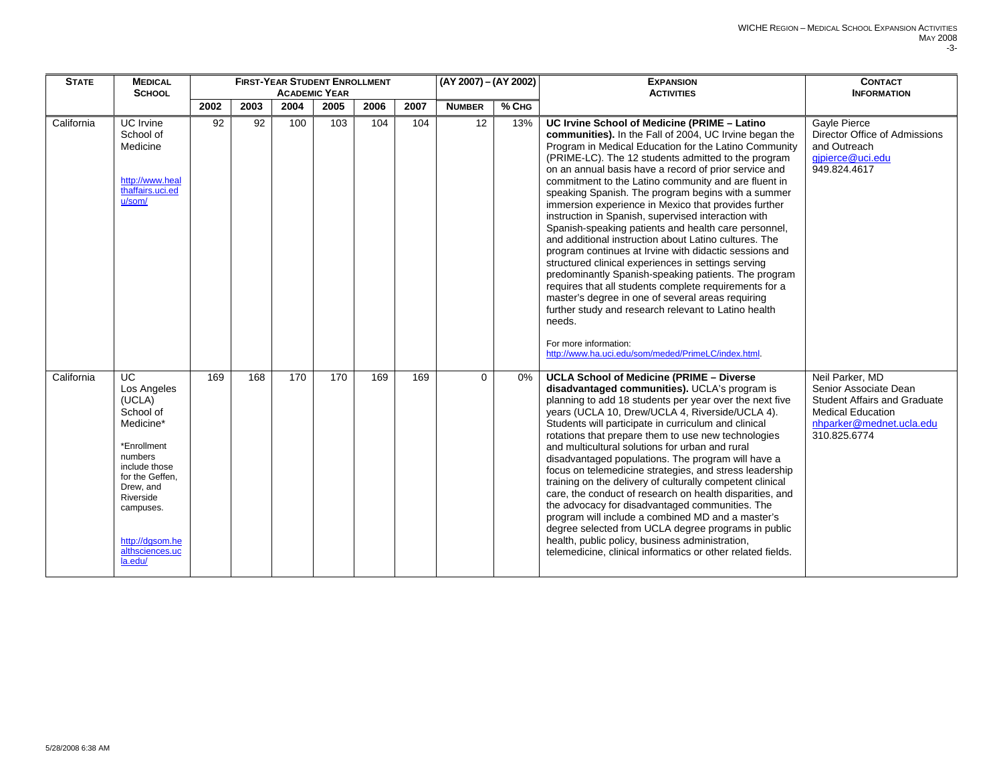| <b>STATE</b> | <b>MEDICAL</b><br><b>SCHOOL</b>                                                                                                                                                                                          |      |      |                  | <b>FIRST-YEAR STUDENT ENROLLMENT</b><br><b>ACADEMIC YEAR</b> |      |      | (AY 2007) - (AY 2002) |         | <b>EXPANSION</b><br><b>ACTIVITIES</b>                                                                                                                                                                                                                                                                                                                                                                                                                                                                                                                                                                                                                                                                                                                                                                                                                                                                                                                                                                                                                                  | <b>CONTACT</b><br><b>INFORMATION</b>                                                                                                                    |
|--------------|--------------------------------------------------------------------------------------------------------------------------------------------------------------------------------------------------------------------------|------|------|------------------|--------------------------------------------------------------|------|------|-----------------------|---------|------------------------------------------------------------------------------------------------------------------------------------------------------------------------------------------------------------------------------------------------------------------------------------------------------------------------------------------------------------------------------------------------------------------------------------------------------------------------------------------------------------------------------------------------------------------------------------------------------------------------------------------------------------------------------------------------------------------------------------------------------------------------------------------------------------------------------------------------------------------------------------------------------------------------------------------------------------------------------------------------------------------------------------------------------------------------|---------------------------------------------------------------------------------------------------------------------------------------------------------|
|              |                                                                                                                                                                                                                          | 2002 | 2003 | 2004             | 2005                                                         | 2006 | 2007 | <b>NUMBER</b>         | $%$ CHG |                                                                                                                                                                                                                                                                                                                                                                                                                                                                                                                                                                                                                                                                                                                                                                                                                                                                                                                                                                                                                                                                        |                                                                                                                                                         |
| California   | <b>UC</b> Irvine<br>School of<br>Medicine<br>http://www.heal<br>thaffairs.uci.ed<br>u/som/                                                                                                                               | 92   | 92   | 100              | 103                                                          | 104  | 104  | $\overline{12}$       | 13%     | UC Irvine School of Medicine (PRIME - Latino<br>communities). In the Fall of 2004, UC Irvine began the<br>Program in Medical Education for the Latino Community<br>(PRIME-LC). The 12 students admitted to the program<br>on an annual basis have a record of prior service and<br>commitment to the Latino community and are fluent in<br>speaking Spanish. The program begins with a summer<br>immersion experience in Mexico that provides further<br>instruction in Spanish, supervised interaction with<br>Spanish-speaking patients and health care personnel,<br>and additional instruction about Latino cultures. The<br>program continues at Irvine with didactic sessions and<br>structured clinical experiences in settings serving<br>predominantly Spanish-speaking patients. The program<br>requires that all students complete requirements for a<br>master's degree in one of several areas requiring<br>further study and research relevant to Latino health<br>needs.<br>For more information:<br>http://www.ha.uci.edu/som/meded/PrimeLC/index.html | Gayle Pierce<br>Director Office of Admissions<br>and Outreach<br>gipierce@uci.edu<br>949.824.4617                                                       |
| California   | $\overline{UC}$<br>Los Angeles<br>(UCLA)<br>School of<br>Medicine*<br>*Enrollment<br>numbers<br>include those<br>for the Geffen.<br>Drew, and<br>Riverside<br>campuses.<br>http://dqsom.he<br>althsciences.uc<br>la.edu/ | 169  | 168  | $\overline{170}$ | 170                                                          | 169  | 169  | $\mathbf 0$           | 0%      | <b>UCLA School of Medicine (PRIME - Diverse</b><br>disadvantaged communities). UCLA's program is<br>planning to add 18 students per year over the next five<br>years (UCLA 10, Drew/UCLA 4, Riverside/UCLA 4).<br>Students will participate in curriculum and clinical<br>rotations that prepare them to use new technologies<br>and multicultural solutions for urban and rural<br>disadvantaged populations. The program will have a<br>focus on telemedicine strategies, and stress leadership<br>training on the delivery of culturally competent clinical<br>care, the conduct of research on health disparities, and<br>the advocacy for disadvantaged communities. The<br>program will include a combined MD and a master's<br>degree selected from UCLA degree programs in public<br>health, public policy, business administration,<br>telemedicine, clinical informatics or other related fields.                                                                                                                                                            | Neil Parker, MD<br>Senior Associate Dean<br><b>Student Affairs and Graduate</b><br><b>Medical Education</b><br>nhparker@mednet.ucla.edu<br>310.825.6774 |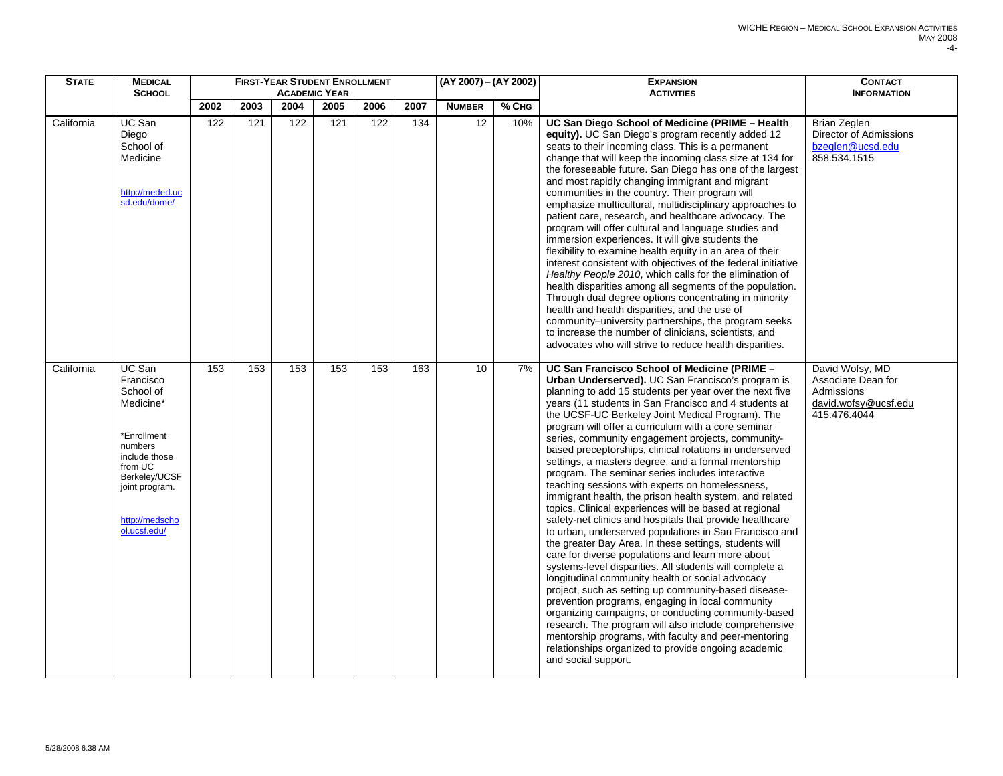| <b>STATE</b> | <b>MEDICAL</b><br><b>SCHOOL</b>                                                                                                                                          |      |      |      | <b>FIRST-YEAR STUDENT ENROLLMENT</b><br><b>ACADEMIC YEAR</b> |      |      | (AY 2007) - (AY 2002) |       | <b>EXPANSION</b><br><b>ACTIVITIES</b>                                                                                                                                                                                                                                                                                                                                                                                                                                                                                                                                                                                                                                                                                                                                                                                                                                                                                                                                                                                                                                                                                                                                                                                                                                                                                                                                                                                                                     | <b>CONTACT</b><br><b>INFORMATION</b>                                                               |
|--------------|--------------------------------------------------------------------------------------------------------------------------------------------------------------------------|------|------|------|--------------------------------------------------------------|------|------|-----------------------|-------|-----------------------------------------------------------------------------------------------------------------------------------------------------------------------------------------------------------------------------------------------------------------------------------------------------------------------------------------------------------------------------------------------------------------------------------------------------------------------------------------------------------------------------------------------------------------------------------------------------------------------------------------------------------------------------------------------------------------------------------------------------------------------------------------------------------------------------------------------------------------------------------------------------------------------------------------------------------------------------------------------------------------------------------------------------------------------------------------------------------------------------------------------------------------------------------------------------------------------------------------------------------------------------------------------------------------------------------------------------------------------------------------------------------------------------------------------------------|----------------------------------------------------------------------------------------------------|
|              |                                                                                                                                                                          | 2002 | 2003 | 2004 | 2005                                                         | 2006 | 2007 | <b>NUMBER</b>         | % CHG |                                                                                                                                                                                                                                                                                                                                                                                                                                                                                                                                                                                                                                                                                                                                                                                                                                                                                                                                                                                                                                                                                                                                                                                                                                                                                                                                                                                                                                                           |                                                                                                    |
| California   | UC San<br>Diego<br>School of<br>Medicine<br>http://meded.uc<br>sd.edu/dome/                                                                                              | 122  | 121  | 122  | 121                                                          | 122  | 134  | 12                    | 10%   | UC San Diego School of Medicine (PRIME - Health<br>equity). UC San Diego's program recently added 12<br>seats to their incoming class. This is a permanent<br>change that will keep the incoming class size at 134 for<br>the foreseeable future. San Diego has one of the largest<br>and most rapidly changing immigrant and migrant<br>communities in the country. Their program will<br>emphasize multicultural, multidisciplinary approaches to<br>patient care, research, and healthcare advocacy. The<br>program will offer cultural and language studies and<br>immersion experiences. It will give students the<br>flexibility to examine health equity in an area of their<br>interest consistent with objectives of the federal initiative<br>Healthy People 2010, which calls for the elimination of<br>health disparities among all segments of the population.<br>Through dual degree options concentrating in minority<br>health and health disparities, and the use of<br>community-university partnerships, the program seeks<br>to increase the number of clinicians, scientists, and<br>advocates who will strive to reduce health disparities.                                                                                                                                                                                                                                                                                         | Brian Zeglen<br>Director of Admissions<br>bzeglen@ucsd.edu<br>858.534.1515                         |
| California   | UC San<br>Francisco<br>School of<br>Medicine*<br>*Enrollment<br>numbers<br>include those<br>from UC<br>Berkeley/UCSF<br>joint program.<br>http://medscho<br>ol.ucsf.edu/ | 153  | 153  | 153  | 153                                                          | 153  | 163  | 10                    | 7%    | UC San Francisco School of Medicine (PRIME -<br>Urban Underserved). UC San Francisco's program is<br>planning to add 15 students per year over the next five<br>years (11 students in San Francisco and 4 students at<br>the UCSF-UC Berkeley Joint Medical Program). The<br>program will offer a curriculum with a core seminar<br>series, community engagement projects, community-<br>based preceptorships, clinical rotations in underserved<br>settings, a masters degree, and a formal mentorship<br>program. The seminar series includes interactive<br>teaching sessions with experts on homelessness,<br>immigrant health, the prison health system, and related<br>topics. Clinical experiences will be based at regional<br>safety-net clinics and hospitals that provide healthcare<br>to urban, underserved populations in San Francisco and<br>the greater Bay Area. In these settings, students will<br>care for diverse populations and learn more about<br>systems-level disparities. All students will complete a<br>longitudinal community health or social advocacy<br>project, such as setting up community-based disease-<br>prevention programs, engaging in local community<br>organizing campaigns, or conducting community-based<br>research. The program will also include comprehensive<br>mentorship programs, with faculty and peer-mentoring<br>relationships organized to provide ongoing academic<br>and social support. | David Wofsy, MD<br>Associate Dean for<br><b>Admissions</b><br>david.wofsy@ucsf.edu<br>415.476.4044 |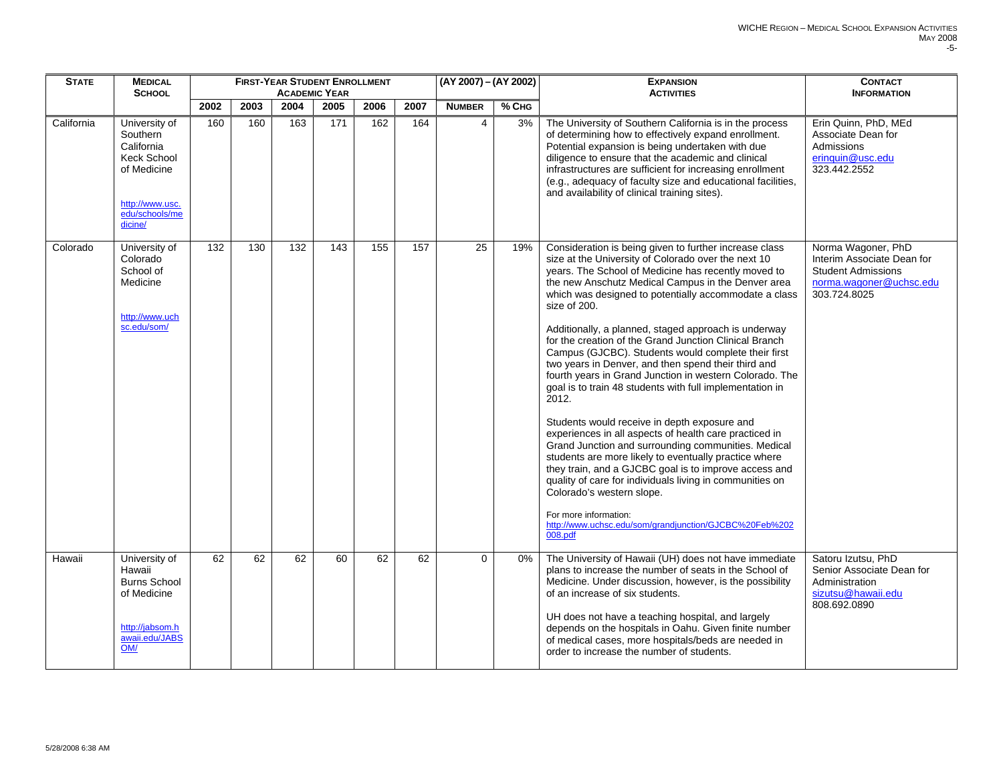| <b>STATE</b> | <b>MEDICAL</b><br><b>SCHOOL</b>                                                                                              |      |      |      | <b>FIRST-YEAR STUDENT ENROLLMENT</b><br><b>ACADEMIC YEAR</b> |      |      | (AY 2007) - (AY 2002) |         | <b>EXPANSION</b><br><b>ACTIVITIES</b>                                                                                                                                                                                                                                                                                                                                                                                                                                                                                                                                                                                                                                                                                                                                                                                                                                                                                                                                                                                                                                                                                                         | <b>CONTACT</b><br><b>INFORMATION</b>                                                                                     |
|--------------|------------------------------------------------------------------------------------------------------------------------------|------|------|------|--------------------------------------------------------------|------|------|-----------------------|---------|-----------------------------------------------------------------------------------------------------------------------------------------------------------------------------------------------------------------------------------------------------------------------------------------------------------------------------------------------------------------------------------------------------------------------------------------------------------------------------------------------------------------------------------------------------------------------------------------------------------------------------------------------------------------------------------------------------------------------------------------------------------------------------------------------------------------------------------------------------------------------------------------------------------------------------------------------------------------------------------------------------------------------------------------------------------------------------------------------------------------------------------------------|--------------------------------------------------------------------------------------------------------------------------|
|              |                                                                                                                              | 2002 | 2003 | 2004 | 2005                                                         | 2006 | 2007 | <b>NUMBER</b>         | $%$ Сна |                                                                                                                                                                                                                                                                                                                                                                                                                                                                                                                                                                                                                                                                                                                                                                                                                                                                                                                                                                                                                                                                                                                                               |                                                                                                                          |
| California   | University of<br>Southern<br>California<br><b>Keck School</b><br>of Medicine<br>http://www.usc.<br>edu/schools/me<br>dicine/ | 160  | 160  | 163  | 171                                                          | 162  | 164  | 4                     | 3%      | The University of Southern California is in the process<br>of determining how to effectively expand enrollment.<br>Potential expansion is being undertaken with due<br>diligence to ensure that the academic and clinical<br>infrastructures are sufficient for increasing enrollment<br>(e.g., adequacy of faculty size and educational facilities,<br>and availability of clinical training sites).                                                                                                                                                                                                                                                                                                                                                                                                                                                                                                                                                                                                                                                                                                                                         | Erin Quinn, PhD, MEd<br>Associate Dean for<br>Admissions<br>erinquin@usc.edu<br>323.442.2552                             |
| Colorado     | University of<br>Colorado<br>School of<br>Medicine<br>http://www.uch<br>sc.edu/som/                                          | 132  | 130  | 132  | 143                                                          | 155  | 157  | 25                    | 19%     | Consideration is being given to further increase class<br>size at the University of Colorado over the next 10<br>years. The School of Medicine has recently moved to<br>the new Anschutz Medical Campus in the Denver area<br>which was designed to potentially accommodate a class<br>size of 200.<br>Additionally, a planned, staged approach is underway<br>for the creation of the Grand Junction Clinical Branch<br>Campus (GJCBC). Students would complete their first<br>two years in Denver, and then spend their third and<br>fourth years in Grand Junction in western Colorado. The<br>goal is to train 48 students with full implementation in<br>2012.<br>Students would receive in depth exposure and<br>experiences in all aspects of health care practiced in<br>Grand Junction and surrounding communities. Medical<br>students are more likely to eventually practice where<br>they train, and a GJCBC goal is to improve access and<br>quality of care for individuals living in communities on<br>Colorado's western slope.<br>For more information:<br>http://www.uchsc.edu/som/grandjunction/GJCBC%20Feb%202<br>008.pdf | Norma Wagoner, PhD<br>Interim Associate Dean for<br><b>Student Admissions</b><br>norma.wagoner@uchsc.edu<br>303.724.8025 |
| Hawaii       | University of<br>Hawaii<br><b>Burns School</b><br>of Medicine<br>http://iabsom.h<br>awaii.edu/JABS<br>OM/                    | 62   | 62   | 62   | 60                                                           | 62   | 62   | $\Omega$              | 0%      | The University of Hawaii (UH) does not have immediate<br>plans to increase the number of seats in the School of<br>Medicine. Under discussion, however, is the possibility<br>of an increase of six students.<br>UH does not have a teaching hospital, and largely<br>depends on the hospitals in Oahu. Given finite number<br>of medical cases, more hospitals/beds are needed in<br>order to increase the number of students.                                                                                                                                                                                                                                                                                                                                                                                                                                                                                                                                                                                                                                                                                                               | Satoru Izutsu, PhD<br>Senior Associate Dean for<br>Administration<br>sizutsu@hawaii.edu<br>808.692.0890                  |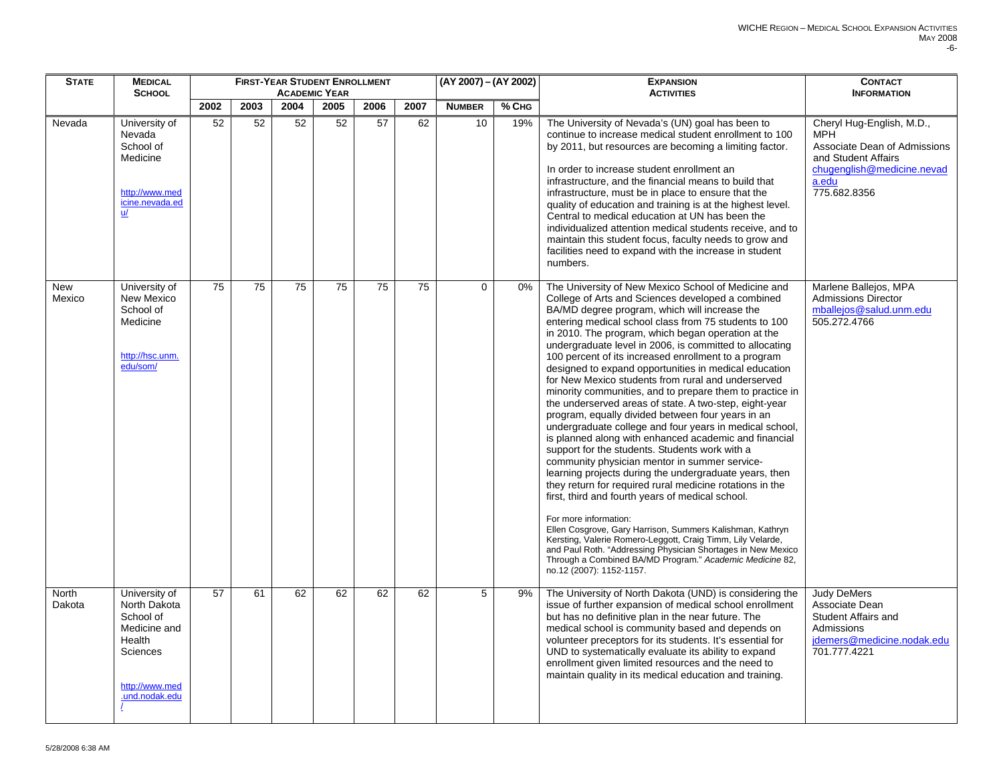| <b>STATE</b>           | <b>MEDICAL</b>                                                                                                       |                 |                 |                 | <b>FIRST-YEAR STUDENT ENROLLMENT</b> |                 |                 | (AY 2007) - (AY 2002) |              | <b>EXPANSION</b>                                                                                                                                                                                                                                                                                                                                                                                                                                                                                                                                                                                                                                                                                                                                                                                                                                                                                                                                                                                                                                                                                                                                                                                                                                                                                                                                                                                    | <b>CONTACT</b>                                                                                                                                        |
|------------------------|----------------------------------------------------------------------------------------------------------------------|-----------------|-----------------|-----------------|--------------------------------------|-----------------|-----------------|-----------------------|--------------|-----------------------------------------------------------------------------------------------------------------------------------------------------------------------------------------------------------------------------------------------------------------------------------------------------------------------------------------------------------------------------------------------------------------------------------------------------------------------------------------------------------------------------------------------------------------------------------------------------------------------------------------------------------------------------------------------------------------------------------------------------------------------------------------------------------------------------------------------------------------------------------------------------------------------------------------------------------------------------------------------------------------------------------------------------------------------------------------------------------------------------------------------------------------------------------------------------------------------------------------------------------------------------------------------------------------------------------------------------------------------------------------------------|-------------------------------------------------------------------------------------------------------------------------------------------------------|
|                        | <b>SCHOOL</b>                                                                                                        | 2002            |                 | 2004            | <b>ACADEMIC YEAR</b>                 |                 | 2007            |                       |              | <b>ACTIVITIES</b>                                                                                                                                                                                                                                                                                                                                                                                                                                                                                                                                                                                                                                                                                                                                                                                                                                                                                                                                                                                                                                                                                                                                                                                                                                                                                                                                                                                   | <b>INFORMATION</b>                                                                                                                                    |
| Nevada                 | University of<br>Nevada<br>School of<br>Medicine<br>http://www.med<br>icine.nevada.ed<br>$u$                         | 52              | 2003<br>52      | 52              | 2005<br>52                           | 2006<br>57      | 62              | <b>NUMBER</b><br>10   | % CHG<br>19% | The University of Nevada's (UN) goal has been to<br>continue to increase medical student enrollment to 100<br>by 2011, but resources are becoming a limiting factor.<br>In order to increase student enrollment an<br>infrastructure, and the financial means to build that<br>infrastructure, must be in place to ensure that the<br>quality of education and training is at the highest level.<br>Central to medical education at UN has been the<br>individualized attention medical students receive, and to<br>maintain this student focus, faculty needs to grow and<br>facilities need to expand with the increase in student<br>numbers.                                                                                                                                                                                                                                                                                                                                                                                                                                                                                                                                                                                                                                                                                                                                                    | Cheryl Hug-English, M.D.,<br><b>MPH</b><br>Associate Dean of Admissions<br>and Student Affairs<br>chugenglish@medicine.nevad<br>a.edu<br>775.682.8356 |
| <b>New</b><br>Mexico   | University of<br>New Mexico<br>School of<br>Medicine<br>http://hsc.unm.<br>edu/som/                                  | $\overline{75}$ | $\overline{75}$ | $\overline{75}$ | $\overline{75}$                      | $\overline{75}$ | $\overline{75}$ | $\Omega$              | 0%           | The University of New Mexico School of Medicine and<br>College of Arts and Sciences developed a combined<br>BA/MD degree program, which will increase the<br>entering medical school class from 75 students to 100<br>in 2010. The program, which began operation at the<br>undergraduate level in 2006, is committed to allocating<br>100 percent of its increased enrollment to a program<br>designed to expand opportunities in medical education<br>for New Mexico students from rural and underserved<br>minority communities, and to prepare them to practice in<br>the underserved areas of state. A two-step, eight-year<br>program, equally divided between four years in an<br>undergraduate college and four years in medical school,<br>is planned along with enhanced academic and financial<br>support for the students. Students work with a<br>community physician mentor in summer service-<br>learning projects during the undergraduate years, then<br>they return for required rural medicine rotations in the<br>first, third and fourth years of medical school.<br>For more information:<br>Ellen Cosgrove, Gary Harrison, Summers Kalishman, Kathryn<br>Kersting, Valerie Romero-Leggott, Craig Timm, Lily Velarde,<br>and Paul Roth. "Addressing Physician Shortages in New Mexico<br>Through a Combined BA/MD Program." Academic Medicine 82,<br>no.12 (2007): 1152-1157. | Marlene Ballejos, MPA<br><b>Admissions Director</b><br>mballejos@salud.unm.edu<br>505.272.4766                                                        |
| <b>North</b><br>Dakota | University of<br>North Dakota<br>School of<br>Medicine and<br>Health<br>Sciences<br>http://www.med<br>.und.nodak.edu | 57              | 61              | 62              | 62                                   | 62              | 62              | 5                     | 9%           | The University of North Dakota (UND) is considering the<br>issue of further expansion of medical school enrollment<br>but has no definitive plan in the near future. The<br>medical school is community based and depends on<br>volunteer preceptors for its students. It's essential for<br>UND to systematically evaluate its ability to expand<br>enrollment given limited resources and the need to<br>maintain quality in its medical education and training.                                                                                                                                                                                                                                                                                                                                                                                                                                                                                                                                                                                                                                                                                                                                                                                                                                                                                                                                  | Judy DeMers<br>Associate Dean<br>Student Affairs and<br>Admissions<br>jdemers@medicine.nodak.edu<br>701.777.4221                                      |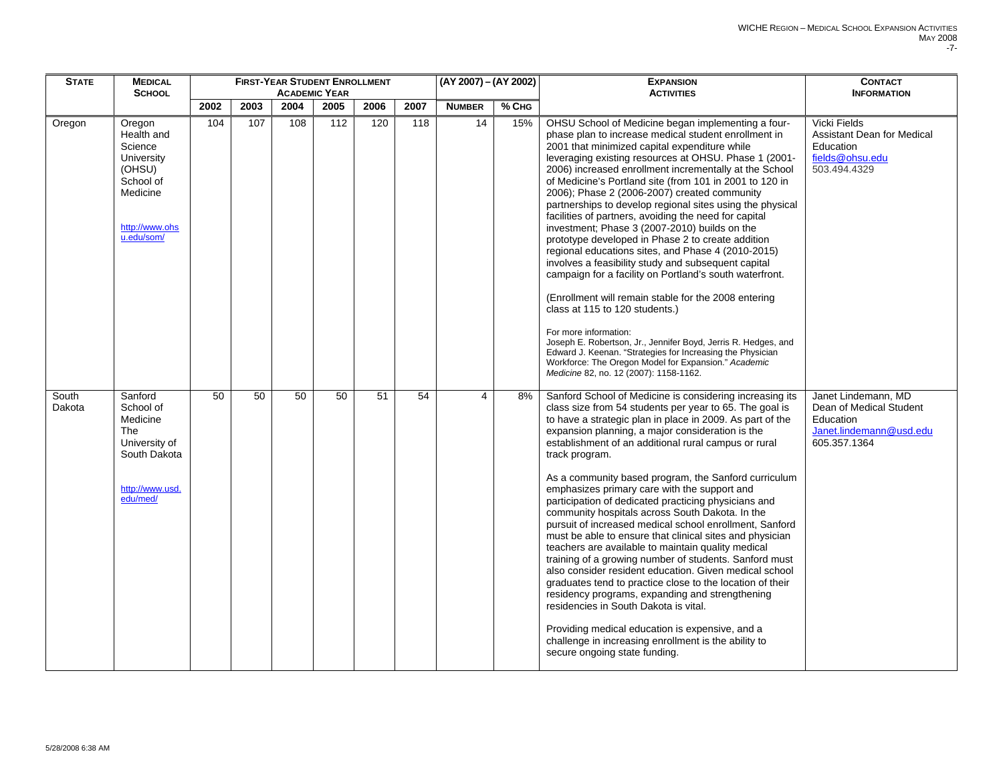| <b>STATE</b>    | <b>MEDICAL</b><br><b>SCHOOL</b>                                                                                  |      |      |      | <b>FIRST-YEAR STUDENT ENROLLMENT</b><br><b>ACADEMIC YEAR</b> |      |                 | (AY 2007) - (AY 2002) |       | <b>EXPANSION</b><br><b>ACTIVITIES</b>                                                                                                                                                                                                                                                                                                                                                                                                                                                                                                                                                                                                                                                                                                                                                                                                                                                                                                                                                                                                                                                                                                              | <b>CONTACT</b><br><b>INFORMATION</b>                                                                   |
|-----------------|------------------------------------------------------------------------------------------------------------------|------|------|------|--------------------------------------------------------------|------|-----------------|-----------------------|-------|----------------------------------------------------------------------------------------------------------------------------------------------------------------------------------------------------------------------------------------------------------------------------------------------------------------------------------------------------------------------------------------------------------------------------------------------------------------------------------------------------------------------------------------------------------------------------------------------------------------------------------------------------------------------------------------------------------------------------------------------------------------------------------------------------------------------------------------------------------------------------------------------------------------------------------------------------------------------------------------------------------------------------------------------------------------------------------------------------------------------------------------------------|--------------------------------------------------------------------------------------------------------|
|                 |                                                                                                                  | 2002 | 2003 | 2004 | 2005                                                         | 2006 | 2007            | <b>NUMBER</b>         | % CHG |                                                                                                                                                                                                                                                                                                                                                                                                                                                                                                                                                                                                                                                                                                                                                                                                                                                                                                                                                                                                                                                                                                                                                    |                                                                                                        |
| Oregon          | Oregon<br>Health and<br>Science<br>University<br>(OHSU)<br>School of<br>Medicine<br>http://www.ohs<br>u.edu/som/ | 104  | 107  | 108  | 112                                                          | 120  | 118             | 14                    | 15%   | OHSU School of Medicine began implementing a four-<br>phase plan to increase medical student enrollment in<br>2001 that minimized capital expenditure while<br>leveraging existing resources at OHSU. Phase 1 (2001-<br>2006) increased enrollment incrementally at the School<br>of Medicine's Portland site (from 101 in 2001 to 120 in<br>2006); Phase 2 (2006-2007) created community<br>partnerships to develop regional sites using the physical<br>facilities of partners, avoiding the need for capital<br>investment; Phase 3 (2007-2010) builds on the<br>prototype developed in Phase 2 to create addition<br>regional educations sites, and Phase 4 (2010-2015)<br>involves a feasibility study and subsequent capital<br>campaign for a facility on Portland's south waterfront.<br>(Enrollment will remain stable for the 2008 entering<br>class at 115 to 120 students.)<br>For more information:<br>Joseph E. Robertson, Jr., Jennifer Boyd, Jerris R. Hedges, and<br>Edward J. Keenan. "Strategies for Increasing the Physician<br>Workforce: The Oregon Model for Expansion." Academic<br>Medicine 82, no. 12 (2007): 1158-1162. | Vicki Fields<br><b>Assistant Dean for Medical</b><br>Education<br>fields@ohsu.edu<br>503.494.4329      |
| South<br>Dakota | Sanford<br>School of<br>Medicine<br>The<br>University of<br>South Dakota<br>http://www.usd.<br>edu/med/          | 50   | 50   | 50   | 50                                                           | 51   | $\overline{54}$ | $\overline{4}$        | 8%    | Sanford School of Medicine is considering increasing its<br>class size from 54 students per year to 65. The goal is<br>to have a strategic plan in place in 2009. As part of the<br>expansion planning, a major consideration is the<br>establishment of an additional rural campus or rural<br>track program.<br>As a community based program, the Sanford curriculum<br>emphasizes primary care with the support and<br>participation of dedicated practicing physicians and<br>community hospitals across South Dakota. In the<br>pursuit of increased medical school enrollment, Sanford<br>must be able to ensure that clinical sites and physician<br>teachers are available to maintain quality medical<br>training of a growing number of students. Sanford must<br>also consider resident education. Given medical school<br>graduates tend to practice close to the location of their<br>residency programs, expanding and strengthening<br>residencies in South Dakota is vital.<br>Providing medical education is expensive, and a<br>challenge in increasing enrollment is the ability to<br>secure ongoing state funding.            | Janet Lindemann, MD<br>Dean of Medical Student<br>Education<br>Janet.lindemann@usd.edu<br>605.357.1364 |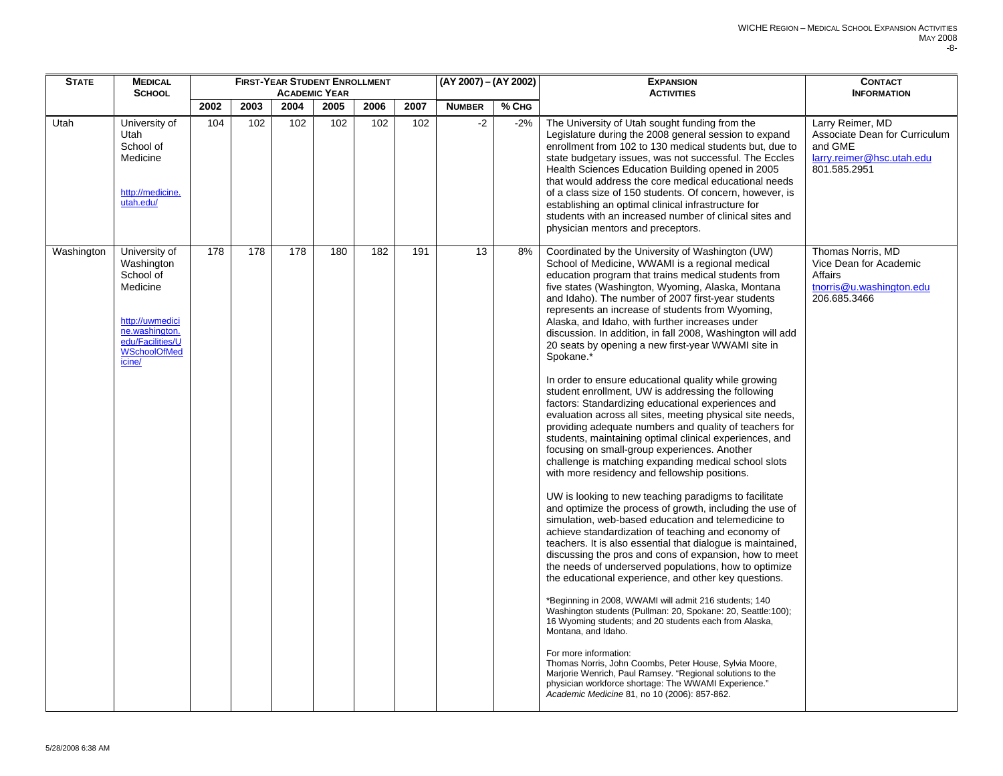| <b>STATE</b> | <b>MEDICAL</b>                                                                                                                                 |      |      |      | <b>FIRST-YEAR STUDENT ENROLLMENT</b> |      |      | $(AY 2007) - (AY 2002)$ |         | <b>EXPANSION</b>                                                                                                                                                                                                                                                                                                                                                                                                                                                                                                                                                                                                                                                                                                                                                                                                                                                                                                                                                                                                                                                                                                                                                                                                                                                                                                                                                                                                                                                                                                                                                                                                                                                                                                                                                                                                                                                                                                                                                            | <b>CONTACT</b>                                                                                            |
|--------------|------------------------------------------------------------------------------------------------------------------------------------------------|------|------|------|--------------------------------------|------|------|-------------------------|---------|-----------------------------------------------------------------------------------------------------------------------------------------------------------------------------------------------------------------------------------------------------------------------------------------------------------------------------------------------------------------------------------------------------------------------------------------------------------------------------------------------------------------------------------------------------------------------------------------------------------------------------------------------------------------------------------------------------------------------------------------------------------------------------------------------------------------------------------------------------------------------------------------------------------------------------------------------------------------------------------------------------------------------------------------------------------------------------------------------------------------------------------------------------------------------------------------------------------------------------------------------------------------------------------------------------------------------------------------------------------------------------------------------------------------------------------------------------------------------------------------------------------------------------------------------------------------------------------------------------------------------------------------------------------------------------------------------------------------------------------------------------------------------------------------------------------------------------------------------------------------------------------------------------------------------------------------------------------------------------|-----------------------------------------------------------------------------------------------------------|
|              | <b>SCHOOL</b>                                                                                                                                  |      |      |      | <b>ACADEMIC YEAR</b>                 |      |      |                         |         | <b>ACTIVITIES</b>                                                                                                                                                                                                                                                                                                                                                                                                                                                                                                                                                                                                                                                                                                                                                                                                                                                                                                                                                                                                                                                                                                                                                                                                                                                                                                                                                                                                                                                                                                                                                                                                                                                                                                                                                                                                                                                                                                                                                           | <b>INFORMATION</b>                                                                                        |
|              |                                                                                                                                                | 2002 | 2003 | 2004 | 2005                                 | 2006 | 2007 | <b>NUMBER</b>           | $%$ CHG |                                                                                                                                                                                                                                                                                                                                                                                                                                                                                                                                                                                                                                                                                                                                                                                                                                                                                                                                                                                                                                                                                                                                                                                                                                                                                                                                                                                                                                                                                                                                                                                                                                                                                                                                                                                                                                                                                                                                                                             |                                                                                                           |
| Utah         | University of<br>Utah<br>School of<br>Medicine<br>http://medicine.<br>utah.edu/                                                                | 104  | 102  | 102  | 102                                  | 102  | 102  | $-2$                    | $-2\%$  | The University of Utah sought funding from the<br>Legislature during the 2008 general session to expand<br>enrollment from 102 to 130 medical students but, due to<br>state budgetary issues, was not successful. The Eccles<br>Health Sciences Education Building opened in 2005<br>that would address the core medical educational needs<br>of a class size of 150 students. Of concern, however, is<br>establishing an optimal clinical infrastructure for<br>students with an increased number of clinical sites and<br>physician mentors and preceptors.                                                                                                                                                                                                                                                                                                                                                                                                                                                                                                                                                                                                                                                                                                                                                                                                                                                                                                                                                                                                                                                                                                                                                                                                                                                                                                                                                                                                               | Larry Reimer, MD<br>Associate Dean for Curriculum<br>and GME<br>larry.reimer@hsc.utah.edu<br>801.585.2951 |
| Washington   | University of<br>Washington<br>School of<br>Medicine<br>http://uwmedici<br>ne.washington.<br>edu/Facilities/U<br><b>WSchoolOfMed</b><br>icine/ | 178  | 178  | 178  | 180                                  | 182  | 191  | 13                      | 8%      | Coordinated by the University of Washington (UW)<br>School of Medicine, WWAMI is a regional medical<br>education program that trains medical students from<br>five states (Washington, Wyoming, Alaska, Montana<br>and Idaho). The number of 2007 first-year students<br>represents an increase of students from Wyoming,<br>Alaska, and Idaho, with further increases under<br>discussion. In addition, in fall 2008, Washington will add<br>20 seats by opening a new first-year WWAMI site in<br>Spokane.*<br>In order to ensure educational quality while growing<br>student enrollment, UW is addressing the following<br>factors: Standardizing educational experiences and<br>evaluation across all sites, meeting physical site needs,<br>providing adequate numbers and quality of teachers for<br>students, maintaining optimal clinical experiences, and<br>focusing on small-group experiences. Another<br>challenge is matching expanding medical school slots<br>with more residency and fellowship positions.<br>UW is looking to new teaching paradigms to facilitate<br>and optimize the process of growth, including the use of<br>simulation, web-based education and telemedicine to<br>achieve standardization of teaching and economy of<br>teachers. It is also essential that dialogue is maintained,<br>discussing the pros and cons of expansion, how to meet<br>the needs of underserved populations, how to optimize<br>the educational experience, and other key questions.<br>*Beginning in 2008, WWAMI will admit 216 students; 140<br>Washington students (Pullman: 20, Spokane: 20, Seattle:100);<br>16 Wyoming students; and 20 students each from Alaska,<br>Montana, and Idaho.<br>For more information:<br>Thomas Norris, John Coombs, Peter House, Sylvia Moore,<br>Marjorie Wenrich, Paul Ramsey. "Regional solutions to the<br>physician workforce shortage: The WWAMI Experience."<br>Academic Medicine 81, no 10 (2006): 857-862. | Thomas Norris, MD<br>Vice Dean for Academic<br>Affairs<br>tnorris@u.washington.edu<br>206.685.3466        |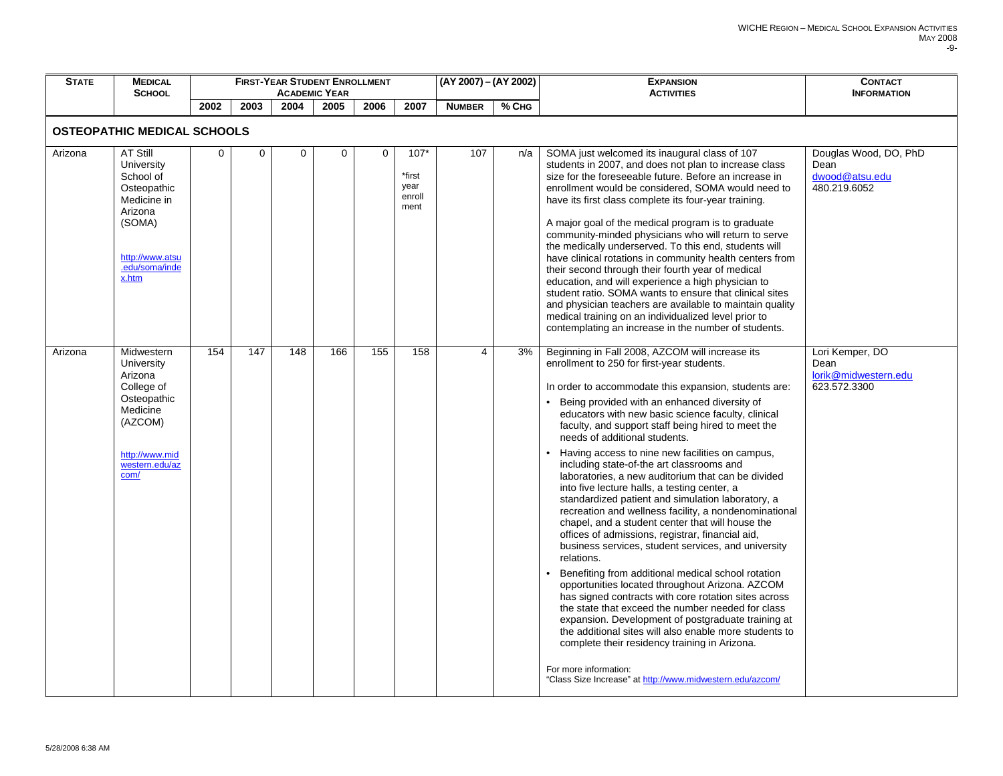| <b>STATE</b> | <b>MEDICAL</b><br><b>SCHOOL</b>                                                                                                             |      |      |             | <b>FIRST-YEAR STUDENT ENROLLMENT</b><br><b>ACADEMIC YEAR</b> |      |                                            | (AY 2007) – (AY 2002) |       | <b>EXPANSION</b><br><b>ACTIVITIES</b>                                                                                                                                                                                                                                                                                                                                                                                                                                                                                                                                                                                                                                                                                                                                                                                                                                                                                                                                                                                                                                                                                                                                                                                                                                                                                               | <b>CONTACT</b><br><b>INFORMATION</b>                            |
|--------------|---------------------------------------------------------------------------------------------------------------------------------------------|------|------|-------------|--------------------------------------------------------------|------|--------------------------------------------|-----------------------|-------|-------------------------------------------------------------------------------------------------------------------------------------------------------------------------------------------------------------------------------------------------------------------------------------------------------------------------------------------------------------------------------------------------------------------------------------------------------------------------------------------------------------------------------------------------------------------------------------------------------------------------------------------------------------------------------------------------------------------------------------------------------------------------------------------------------------------------------------------------------------------------------------------------------------------------------------------------------------------------------------------------------------------------------------------------------------------------------------------------------------------------------------------------------------------------------------------------------------------------------------------------------------------------------------------------------------------------------------|-----------------------------------------------------------------|
|              |                                                                                                                                             | 2002 | 2003 | 2004        | 2005                                                         | 2006 | 2007                                       | <b>NUMBER</b>         | % CHG |                                                                                                                                                                                                                                                                                                                                                                                                                                                                                                                                                                                                                                                                                                                                                                                                                                                                                                                                                                                                                                                                                                                                                                                                                                                                                                                                     |                                                                 |
|              | <b>OSTEOPATHIC MEDICAL SCHOOLS</b>                                                                                                          |      |      |             |                                                              |      |                                            |                       |       |                                                                                                                                                                                                                                                                                                                                                                                                                                                                                                                                                                                                                                                                                                                                                                                                                                                                                                                                                                                                                                                                                                                                                                                                                                                                                                                                     |                                                                 |
| Arizona      | <b>AT Still</b><br>University<br>School of<br>Osteopathic<br>Medicine in<br>Arizona<br>(SOMA)<br>http://www.atsu<br>.edu/soma/inde<br>x.htm | 0    | 0    | $\mathbf 0$ | 0                                                            | 0    | $107*$<br>*first<br>year<br>enroll<br>ment | 107                   | n/a   | SOMA just welcomed its inaugural class of 107<br>students in 2007, and does not plan to increase class<br>size for the foreseeable future. Before an increase in<br>enrollment would be considered, SOMA would need to<br>have its first class complete its four-year training.<br>A major goal of the medical program is to graduate<br>community-minded physicians who will return to serve<br>the medically underserved. To this end, students will<br>have clinical rotations in community health centers from<br>their second through their fourth year of medical<br>education, and will experience a high physician to<br>student ratio. SOMA wants to ensure that clinical sites<br>and physician teachers are available to maintain quality<br>medical training on an individualized level prior to<br>contemplating an increase in the number of students.                                                                                                                                                                                                                                                                                                                                                                                                                                                                | Douglas Wood, DO, PhD<br>Dean<br>dwood@atsu.edu<br>480.219.6052 |
| Arizona      | Midwestern<br>University<br>Arizona<br>College of<br>Osteopathic<br>Medicine<br>(AZCOM)<br>http://www.mid<br>western.edu/az<br>com/         | 154  | 147  | 148         | 166                                                          | 155  | 158                                        | 4                     | 3%    | Beginning in Fall 2008, AZCOM will increase its<br>enrollment to 250 for first-year students.<br>In order to accommodate this expansion, students are:<br>• Being provided with an enhanced diversity of<br>educators with new basic science faculty, clinical<br>faculty, and support staff being hired to meet the<br>needs of additional students.<br>Having access to nine new facilities on campus,<br>including state-of-the art classrooms and<br>laboratories, a new auditorium that can be divided<br>into five lecture halls, a testing center, a<br>standardized patient and simulation laboratory, a<br>recreation and wellness facility, a nondenominational<br>chapel, and a student center that will house the<br>offices of admissions, registrar, financial aid,<br>business services, student services, and university<br>relations.<br>Benefiting from additional medical school rotation<br>opportunities located throughout Arizona. AZCOM<br>has signed contracts with core rotation sites across<br>the state that exceed the number needed for class<br>expansion. Development of postgraduate training at<br>the additional sites will also enable more students to<br>complete their residency training in Arizona.<br>For more information:<br>"Class Size Increase" at http://www.midwestern.edu/azcom/ | Lori Kemper, DO<br>Dean<br>lorik@midwestern.edu<br>623.572.3300 |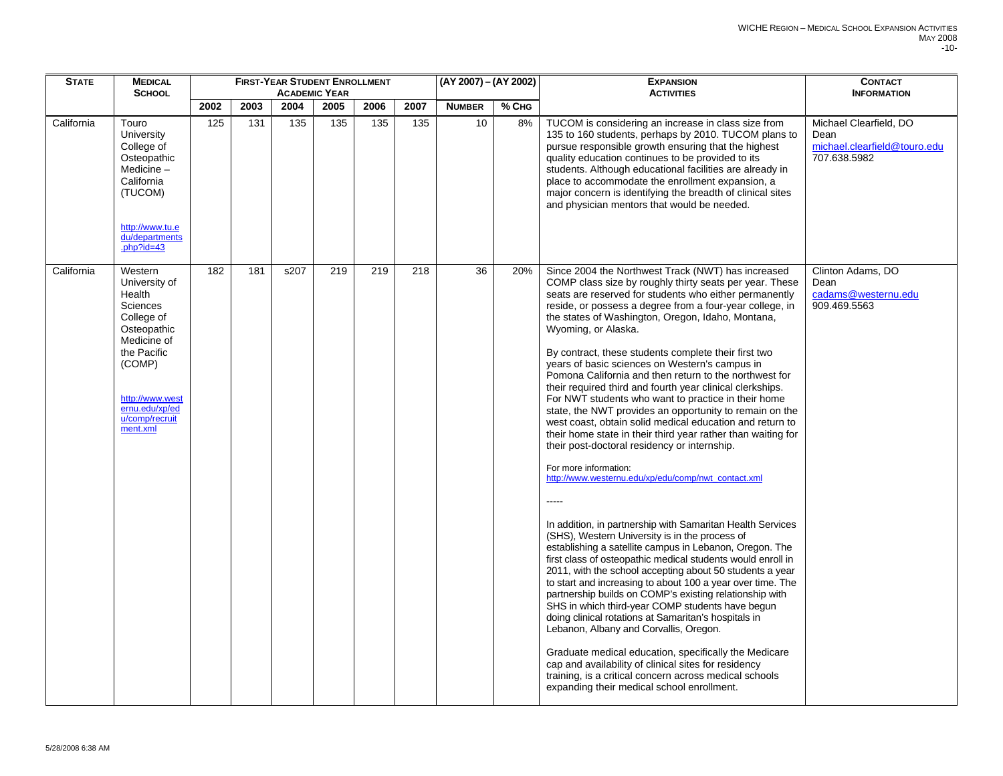| <b>STATE</b> | <b>MEDICAL</b>                                                                                                                                                                                |      |      |      | <b>FIRST-YEAR STUDENT ENROLLMENT</b> |      |      | (AY 2007) - (AY 2002) |         | <b>EXPANSION</b>                                                                                                                                                                                                                                                                                                                                                                                                                                                                                                                                                                                                                                                                                                                                                                                                                                                                                                                                                                                                                                                                                                                                                                                                                                                                                                                                                                                                                                                                                                                                                                                                                                                                                                                                      | <b>CONTACT</b>                                                                 |
|--------------|-----------------------------------------------------------------------------------------------------------------------------------------------------------------------------------------------|------|------|------|--------------------------------------|------|------|-----------------------|---------|-------------------------------------------------------------------------------------------------------------------------------------------------------------------------------------------------------------------------------------------------------------------------------------------------------------------------------------------------------------------------------------------------------------------------------------------------------------------------------------------------------------------------------------------------------------------------------------------------------------------------------------------------------------------------------------------------------------------------------------------------------------------------------------------------------------------------------------------------------------------------------------------------------------------------------------------------------------------------------------------------------------------------------------------------------------------------------------------------------------------------------------------------------------------------------------------------------------------------------------------------------------------------------------------------------------------------------------------------------------------------------------------------------------------------------------------------------------------------------------------------------------------------------------------------------------------------------------------------------------------------------------------------------------------------------------------------------------------------------------------------------|--------------------------------------------------------------------------------|
|              | <b>SCHOOL</b>                                                                                                                                                                                 |      |      |      | <b>ACADEMIC YEAR</b>                 |      |      |                       |         | <b>ACTIVITIES</b>                                                                                                                                                                                                                                                                                                                                                                                                                                                                                                                                                                                                                                                                                                                                                                                                                                                                                                                                                                                                                                                                                                                                                                                                                                                                                                                                                                                                                                                                                                                                                                                                                                                                                                                                     | <b>INFORMATION</b>                                                             |
|              |                                                                                                                                                                                               | 2002 | 2003 | 2004 | 2005                                 | 2006 | 2007 | <b>NUMBER</b>         | $%$ CHG |                                                                                                                                                                                                                                                                                                                                                                                                                                                                                                                                                                                                                                                                                                                                                                                                                                                                                                                                                                                                                                                                                                                                                                                                                                                                                                                                                                                                                                                                                                                                                                                                                                                                                                                                                       |                                                                                |
| California   | Touro<br>University<br>College of<br>Osteopathic<br>Medicine-<br>California<br>(TUCOM)<br>http://www.tu.e<br>du/departments<br>.php?id=43                                                     | 125  | 131  | 135  | 135                                  | 135  | 135  | 10                    | 8%      | TUCOM is considering an increase in class size from<br>135 to 160 students, perhaps by 2010. TUCOM plans to<br>pursue responsible growth ensuring that the highest<br>quality education continues to be provided to its<br>students. Although educational facilities are already in<br>place to accommodate the enrollment expansion, a<br>major concern is identifying the breadth of clinical sites<br>and physician mentors that would be needed.                                                                                                                                                                                                                                                                                                                                                                                                                                                                                                                                                                                                                                                                                                                                                                                                                                                                                                                                                                                                                                                                                                                                                                                                                                                                                                  | Michael Clearfield, DO<br>Dean<br>michael.clearfield@touro.edu<br>707.638.5982 |
| California   | Western<br>University of<br>Health<br><b>Sciences</b><br>College of<br>Osteopathic<br>Medicine of<br>the Pacific<br>(COMP)<br>http://www.west<br>ernu.edu/xp/ed<br>u/comp/recruit<br>ment.xml | 182  | 181  | s207 | 219                                  | 219  | 218  | 36                    | 20%     | Since 2004 the Northwest Track (NWT) has increased<br>COMP class size by roughly thirty seats per year. These<br>seats are reserved for students who either permanently<br>reside, or possess a degree from a four-year college, in<br>the states of Washington, Oregon, Idaho, Montana,<br>Wyoming, or Alaska.<br>By contract, these students complete their first two<br>years of basic sciences on Western's campus in<br>Pomona California and then return to the northwest for<br>their required third and fourth year clinical clerkships.<br>For NWT students who want to practice in their home<br>state, the NWT provides an opportunity to remain on the<br>west coast, obtain solid medical education and return to<br>their home state in their third year rather than waiting for<br>their post-doctoral residency or internship.<br>For more information:<br>http://www.westernu.edu/xp/edu/comp/nwt_contact.xml<br>$---$<br>In addition, in partnership with Samaritan Health Services<br>(SHS), Western University is in the process of<br>establishing a satellite campus in Lebanon, Oregon. The<br>first class of osteopathic medical students would enroll in<br>2011, with the school accepting about 50 students a year<br>to start and increasing to about 100 a year over time. The<br>partnership builds on COMP's existing relationship with<br>SHS in which third-year COMP students have begun<br>doing clinical rotations at Samaritan's hospitals in<br>Lebanon, Albany and Corvallis, Oregon.<br>Graduate medical education, specifically the Medicare<br>cap and availability of clinical sites for residency<br>training, is a critical concern across medical schools<br>expanding their medical school enrollment. | Clinton Adams, DO<br>Dean<br>cadams@westernu.edu<br>909.469.5563               |